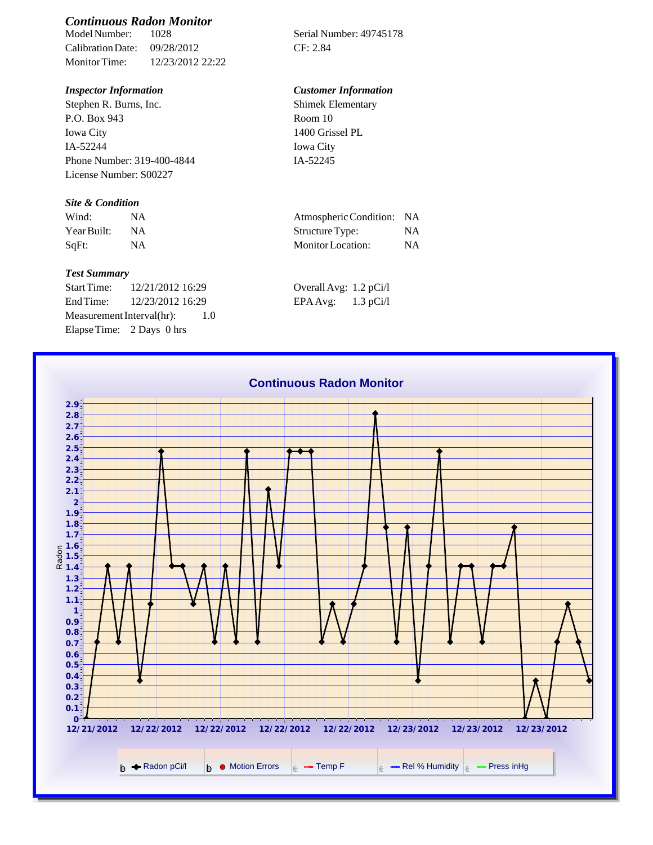# *Continuous Radon Monitor*

Calibration Date: 09/28/2012 CF: 2.84 Monitor Time: 12/23/2012 22:22

Stephen R. Burns, Inc. P.O. Box 943 Iowa City IA-52244 Phone Number: 319-400-4844 License Number: S00227

#### *Site & Condition*

| Wind:       |           | Atmospheric Condition: NA |    |
|-------------|-----------|---------------------------|----|
| Year Built: | <b>NA</b> | Structure Type:           |    |
| SqFt:       |           | Monitor Location:         | ΝA |

#### *Test Summary*

Start Time: 12/21/2012 16:29 End Time: 12/23/2012 16:29 Measurement Interval(hr): 1.0 Elapse Time: 2 Days 0 hrs

Serial Number: 49745178

### *Inspector Information Customer Information*

Shimek Elementary Room 10 1400 Grissel PL Iowa City IA-52245

| Atmospheric Condition: | <b>NA</b> |
|------------------------|-----------|
| Structure Type:        | NA.       |
| Monitor Location:      | NA.       |

| Overall Avg: 1.2 pCi/l |             |
|------------------------|-------------|
| EPA Avg:               | $1.3$ pCi/l |

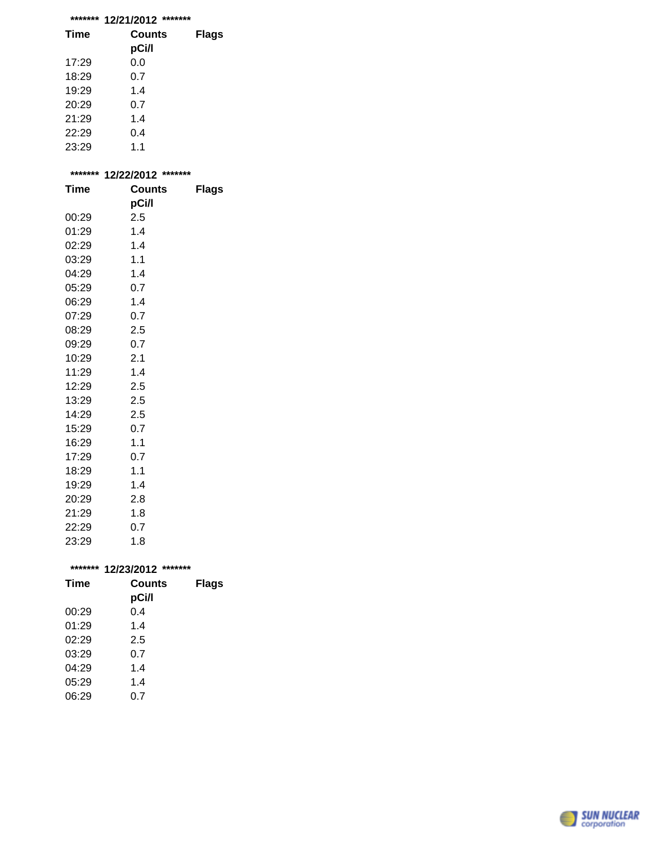## **\*\*\*\*\*\*\* 12/21/2012 \*\*\*\*\*\*\***

| <b>Time</b> | Counts<br>pCi/l | <b>Flags</b> |
|-------------|-----------------|--------------|
| 17:29       | 0.0             |              |
| 18:29       | 0.7             |              |
| 19:29       | 1.4             |              |
| 20:29       | 0.7             |              |
| 21:29       | 1.4             |              |
| 22:29       | 0.4             |              |
| 23:29       | 1.1             |              |

|             | ******* 12/22/2012<br>******* |              |
|-------------|-------------------------------|--------------|
| <b>Time</b> | <b>Counts</b>                 | <b>Flags</b> |
|             | pCi/l                         |              |
| 00:29       | 2.5                           |              |
| 01:29       | 1.4                           |              |
| 02:29       | 1.4                           |              |
| 03:29       | 1.1                           |              |
| 04:29       | 1.4                           |              |
| 05:29       | 0.7                           |              |
| 06:29       | 1.4                           |              |
| 07:29       | 0.7                           |              |
| 08:29       | 2.5                           |              |
| 09:29       | 0.7                           |              |
| 10:29       | 2.1                           |              |
| 11:29       | 1.4                           |              |
| 12:29       | 2.5                           |              |
| 13:29       | 2.5                           |              |
| 14:29       | 2.5                           |              |
| 15:29       | 0.7                           |              |
| 16:29       | 1.1                           |              |
| 17:29       | 0.7                           |              |
| 18:29       | 1.1                           |              |
| 19:29       | 1.4                           |              |
| 20:29       | 2.8                           |              |
| 21:29       | 1.8                           |              |
| 22:29       | 0.7                           |              |
| 23:29       | 1.8                           |              |
|             |                               |              |
| *******     | 12/23/2012 *******            |              |
| Time        | Counts                        | Flags        |

| Time  | Counts<br>pCi/l | <b>Flags</b> |
|-------|-----------------|--------------|
| 00:29 | 0.4             |              |
| 01:29 | 1.4             |              |
| 02:29 | 2.5             |              |
| 03:29 | 0.7             |              |
| 04:29 | 1.4             |              |
| 05:29 | 1.4             |              |
| 06:29 | 0.7             |              |